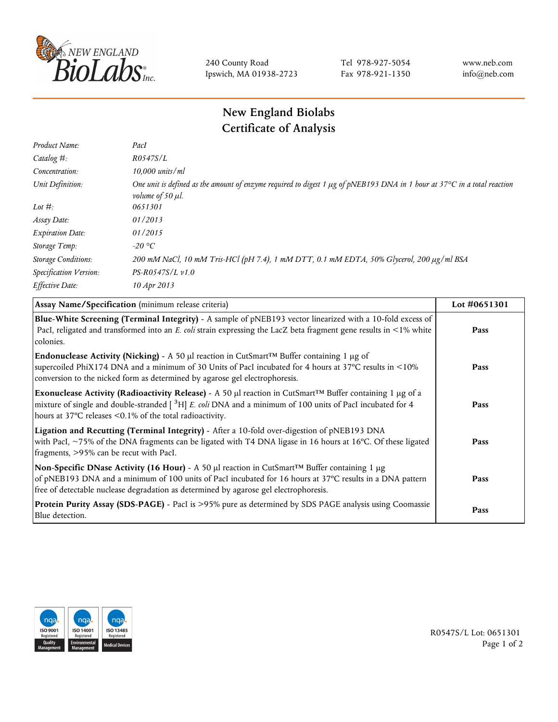

240 County Road Ipswich, MA 01938-2723 Tel 978-927-5054 Fax 978-921-1350 www.neb.com info@neb.com

## **New England Biolabs Certificate of Analysis**

| Product Name:              | PacI                                                                                                                                                                    |
|----------------------------|-------------------------------------------------------------------------------------------------------------------------------------------------------------------------|
| Catalog $#$ :              | R0547S/L                                                                                                                                                                |
| Concentration:             | $10,000$ units/ml                                                                                                                                                       |
| Unit Definition:           | One unit is defined as the amount of enzyme required to digest 1 $\mu$ g of pNEB193 DNA in 1 hour at 37°C in a total reaction<br><i>volume of 50 <math>\mu</math>l.</i> |
| Lot $#$ :                  | 0651301                                                                                                                                                                 |
| Assay Date:                | 01/2013                                                                                                                                                                 |
| <b>Expiration Date:</b>    | 01/2015                                                                                                                                                                 |
| Storage Temp:              | $-20$ °C                                                                                                                                                                |
| <b>Storage Conditions:</b> | 200 mM NaCl, 10 mM Tris-HCl (pH 7.4), 1 mM DTT, 0.1 mM EDTA, 50% Glycerol, 200 µg/ml BSA                                                                                |
| Specification Version:     | $PS-R0547S/L \nu 1.0$                                                                                                                                                   |
| Effective Date:            | 10 Apr 2013                                                                                                                                                             |
|                            |                                                                                                                                                                         |

| Assay Name/Specification (minimum release criteria)                                                                                                                                                                                                                                                                        | Lot #0651301 |
|----------------------------------------------------------------------------------------------------------------------------------------------------------------------------------------------------------------------------------------------------------------------------------------------------------------------------|--------------|
| Blue-White Screening (Terminal Integrity) - A sample of pNEB193 vector linearized with a 10-fold excess of<br>PacI, religated and transformed into an E. coli strain expressing the LacZ beta fragment gene results in <1% white<br>colonies.                                                                              | Pass         |
| <b>Endonuclease Activity (Nicking)</b> - A 50 µl reaction in CutSmart <sup>TM</sup> Buffer containing 1 µg of<br>supercoiled PhiX174 DNA and a minimum of 30 Units of PacI incubated for 4 hours at 37°C results in <10%<br>conversion to the nicked form as determined by agarose gel electrophoresis.                    | Pass         |
| Exonuclease Activity (Radioactivity Release) - A 50 $\mu$ l reaction in CutSmart <sup>TM</sup> Buffer containing 1 $\mu$ g of a<br>mixture of single and double-stranded $[$ <sup>3</sup> H $]$ E. coli DNA and a minimum of 100 units of PacI incubated for 4<br>hours at 37°C releases <0.1% of the total radioactivity. | Pass         |
| Ligation and Recutting (Terminal Integrity) - After a 10-fold over-digestion of pNEB193 DNA<br>with PacI, ~75% of the DNA fragments can be ligated with T4 DNA ligase in 16 hours at 16°C. Of these ligated<br>fragments, >95% can be recut with PacI.                                                                     | Pass         |
| Non-Specific DNase Activity (16 Hour) - A 50 $\mu$ l reaction in CutSmart <sup>TM</sup> Buffer containing 1 $\mu$ g<br>of pNEB193 DNA and a minimum of 100 units of PacI incubated for 16 hours at 37°C results in a DNA pattern<br>free of detectable nuclease degradation as determined by agarose gel electrophoresis.  | Pass         |
| Protein Purity Assay (SDS-PAGE) - PacI is >95% pure as determined by SDS PAGE analysis using Coomassie<br>Blue detection.                                                                                                                                                                                                  | Pass         |



R0547S/L Lot: 0651301 Page 1 of 2